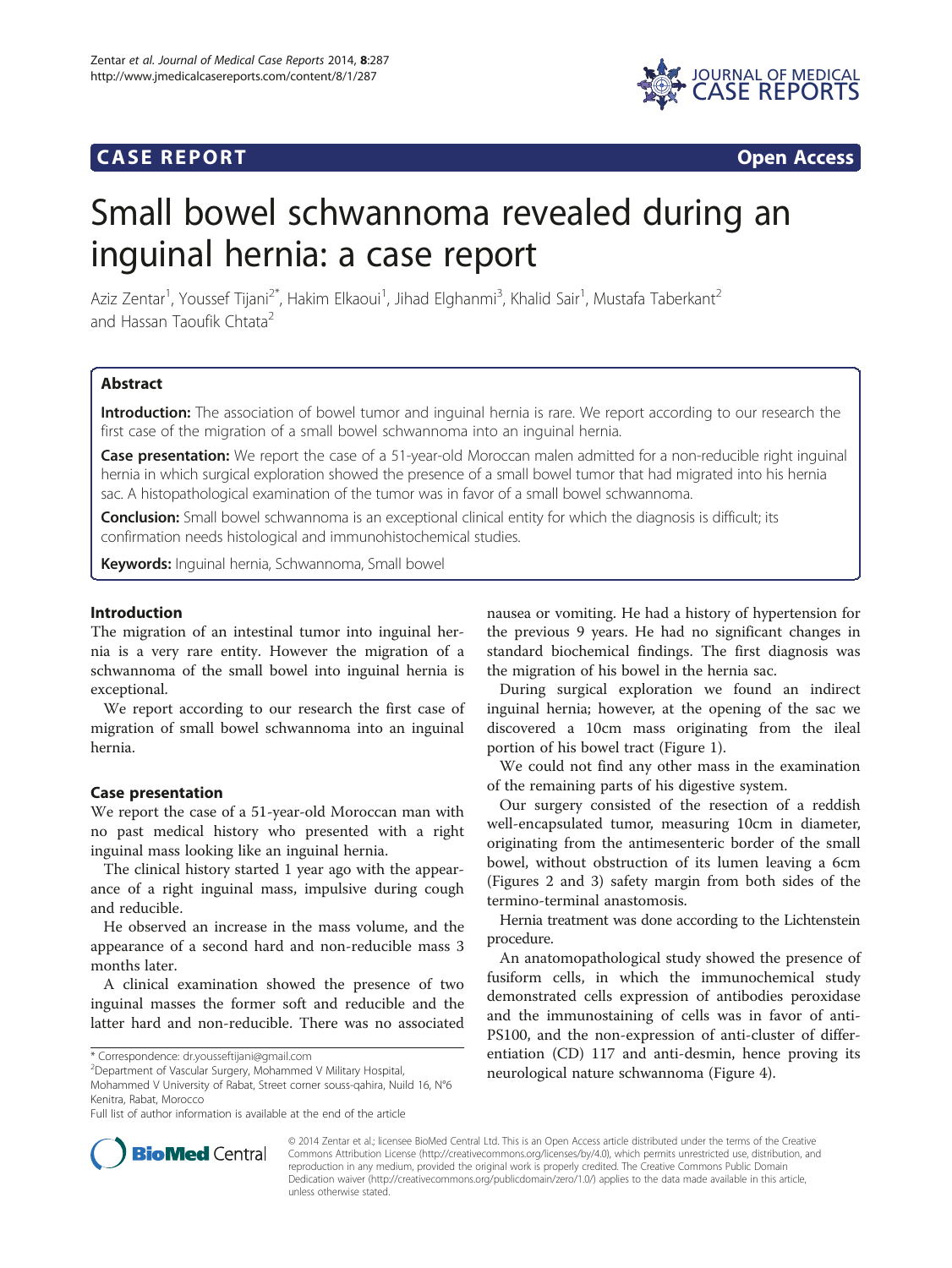# **CASE REPORT CASE REPORT**



# Small bowel schwannoma revealed during an inguinal hernia: a case report

Aziz Zentar<sup>1</sup>, Youssef Tijani<sup>2\*</sup>, Hakim Elkaoui<sup>1</sup>, Jihad Elghanmi<sup>3</sup>, Khalid Sair<sup>1</sup>, Mustafa Taberkant<sup>2</sup> and Hassan Taoufik Chtata<sup>2</sup>

# Abstract

Introduction: The association of bowel tumor and inguinal hernia is rare. We report according to our research the first case of the migration of a small bowel schwannoma into an inguinal hernia.

Case presentation: We report the case of a 51-year-old Moroccan malen admitted for a non-reducible right inquinal hernia in which surgical exploration showed the presence of a small bowel tumor that had migrated into his hernia sac. A histopathological examination of the tumor was in favor of a small bowel schwannoma.

**Conclusion:** Small bowel schwannoma is an exceptional clinical entity for which the diagnosis is difficult; its confirmation needs histological and immunohistochemical studies.

Keywords: Inguinal hernia, Schwannoma, Small bowel

# Introduction

The migration of an intestinal tumor into inguinal hernia is a very rare entity. However the migration of a schwannoma of the small bowel into inguinal hernia is exceptional.

We report according to our research the first case of migration of small bowel schwannoma into an inguinal hernia.

# Case presentation

We report the case of a 51-year-old Moroccan man with no past medical history who presented with a right inguinal mass looking like an inguinal hernia.

The clinical history started 1 year ago with the appearance of a right inguinal mass, impulsive during cough and reducible.

He observed an increase in the mass volume, and the appearance of a second hard and non-reducible mass 3 months later.

A clinical examination showed the presence of two inguinal masses the former soft and reducible and the latter hard and non-reducible. There was no associated

Department of Vascular Surgery, Mohammed V Military Hospital, Mohammed V University of Rabat, Street corner souss-qahira, Nuild 16, N°6 Kenitra, Rabat, Morocco

nausea or vomiting. He had a history of hypertension for the previous 9 years. He had no significant changes in standard biochemical findings. The first diagnosis was the migration of his bowel in the hernia sac.

During surgical exploration we found an indirect inguinal hernia; however, at the opening of the sac we discovered a 10cm mass originating from the ileal portion of his bowel tract (Figure [1](#page-1-0)).

We could not find any other mass in the examination of the remaining parts of his digestive system.

Our surgery consisted of the resection of a reddish well-encapsulated tumor, measuring 10cm in diameter, originating from the antimesenteric border of the small bowel, without obstruction of its lumen leaving a 6cm (Figures [2](#page-1-0) and [3\)](#page-1-0) safety margin from both sides of the termino-terminal anastomosis.

Hernia treatment was done according to the Lichtenstein procedure.

An anatomopathological study showed the presence of fusiform cells, in which the immunochemical study demonstrated cells expression of antibodies peroxidase and the immunostaining of cells was in favor of anti-PS100, and the non-expression of anti-cluster of differentiation (CD) 117 and anti-desmin, hence proving its neurological nature schwannoma (Figure [4](#page-1-0)).



© 2014 Zentar et al.; licensee BioMed Central Ltd. This is an Open Access article distributed under the terms of the Creative Commons Attribution License [\(http://creativecommons.org/licenses/by/4.0\)](http://creativecommons.org/licenses/by/4.0), which permits unrestricted use, distribution, and reproduction in any medium, provided the original work is properly credited. The Creative Commons Public Domain Dedication waiver [\(http://creativecommons.org/publicdomain/zero/1.0/](http://creativecommons.org/publicdomain/zero/1.0/)) applies to the data made available in this article, unless otherwise stated.

<sup>\*</sup> Correspondence: [dr.yousseftijani@gmail.com](mailto:dr.yousseftijani@gmail.com) <sup>2</sup>

Full list of author information is available at the end of the article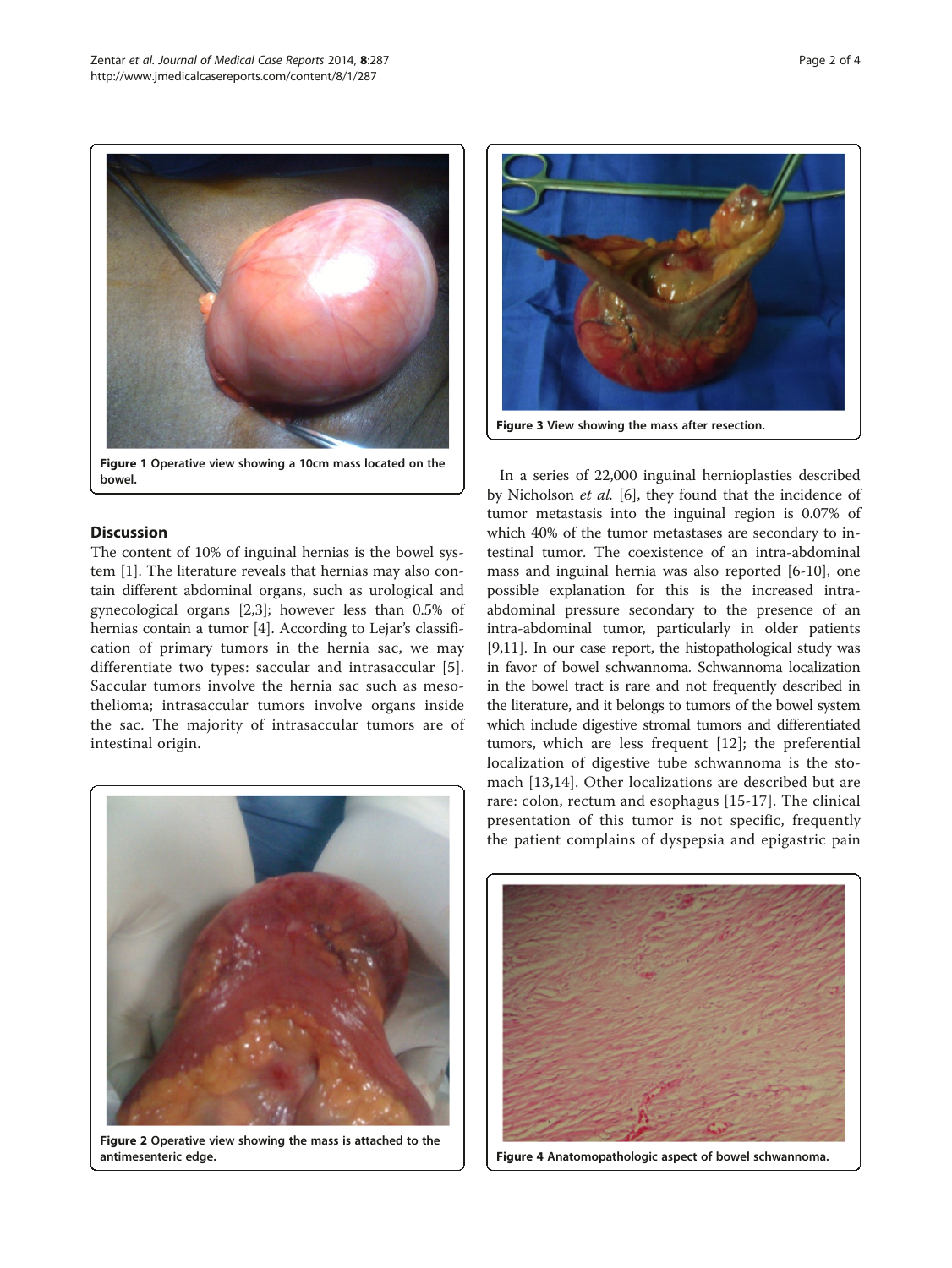<span id="page-1-0"></span>

# **Discussion**

The content of 10% of inguinal hernias is the bowel system [[1](#page-2-0)]. The literature reveals that hernias may also contain different abdominal organs, such as urological and gynecological organs [[2](#page-2-0),[3](#page-2-0)]; however less than 0.5% of hernias contain a tumor [[4\]](#page-2-0). According to Lejar's classification of primary tumors in the hernia sac, we may differentiate two types: saccular and intrasaccular [[5](#page-2-0)]. Saccular tumors involve the hernia sac such as mesothelioma; intrasaccular tumors involve organs inside the sac. The majority of intrasaccular tumors are of intestinal origin.



Figure 2 Operative view showing the mass is attached to the antimesenteric edge.



In a series of 22,000 inguinal hernioplasties described by Nicholson et al. [[6](#page-2-0)], they found that the incidence of tumor metastasis into the inguinal region is 0.07% of which 40% of the tumor metastases are secondary to intestinal tumor. The coexistence of an intra-abdominal mass and inguinal hernia was also reported [[6-10](#page-2-0)], one possible explanation for this is the increased intraabdominal pressure secondary to the presence of an intra-abdominal tumor, particularly in older patients [[9,11\]](#page-2-0). In our case report, the histopathological study was in favor of bowel schwannoma. Schwannoma localization in the bowel tract is rare and not frequently described in the literature, and it belongs to tumors of the bowel system which include digestive stromal tumors and differentiated tumors, which are less frequent [\[12\]](#page-2-0); the preferential localization of digestive tube schwannoma is the stomach [[13](#page-2-0),[14\]](#page-2-0). Other localizations are described but are rare: colon, rectum and esophagus [\[15-17](#page-3-0)]. The clinical presentation of this tumor is not specific, frequently the patient complains of dyspepsia and epigastric pain



Figure 4 Anatomopathologic aspect of bowel schwannoma.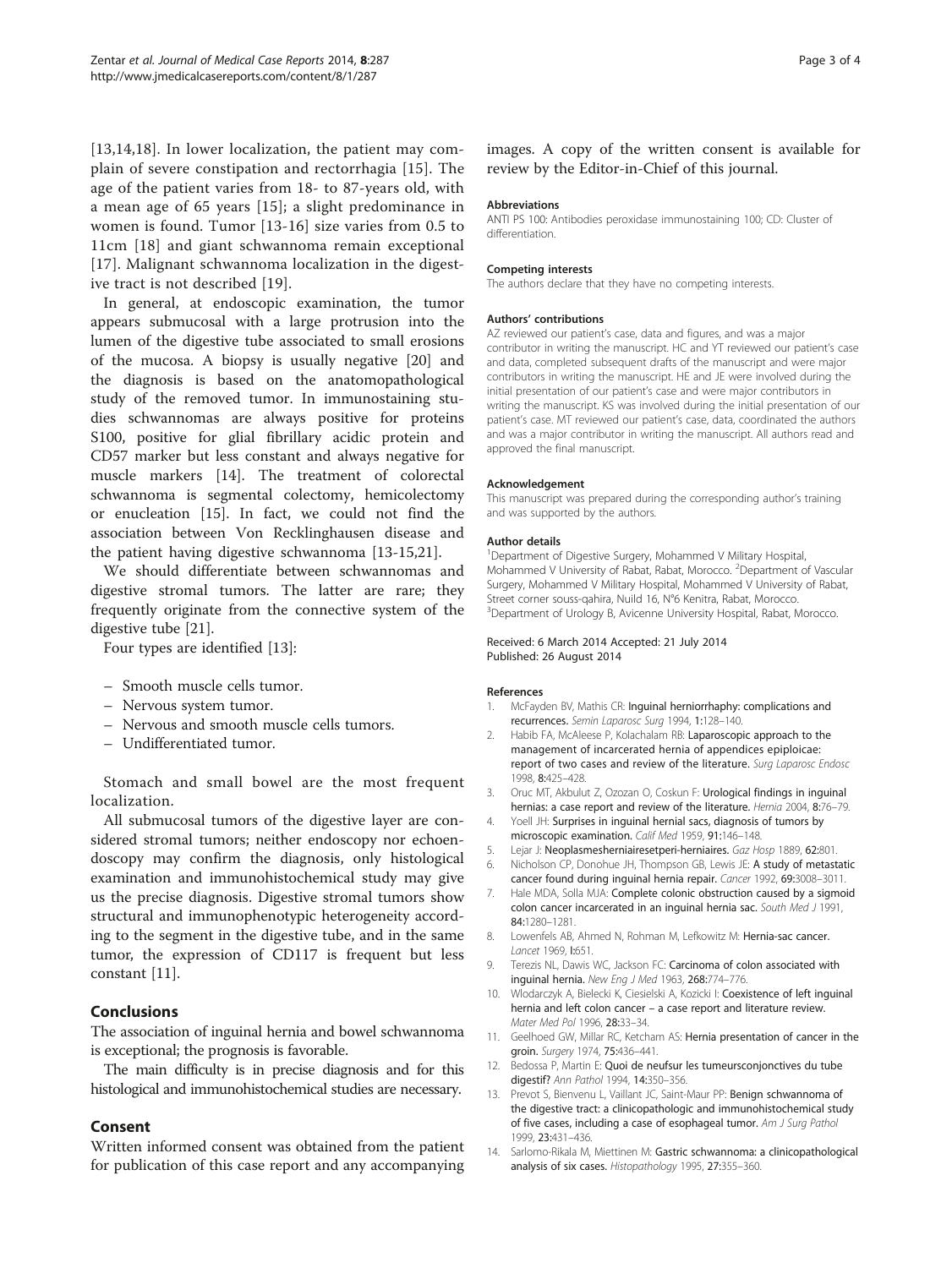<span id="page-2-0"></span>[13,14,[18\]](#page-3-0). In lower localization, the patient may complain of severe constipation and rectorrhagia [[15](#page-3-0)]. The age of the patient varies from 18- to 87-years old, with a mean age of 65 years [[15\]](#page-3-0); a slight predominance in women is found. Tumor [13[-16](#page-3-0)] size varies from 0.5 to 11cm [\[18](#page-3-0)] and giant schwannoma remain exceptional [[17](#page-3-0)]. Malignant schwannoma localization in the digestive tract is not described [[19](#page-3-0)].

In general, at endoscopic examination, the tumor appears submucosal with a large protrusion into the lumen of the digestive tube associated to small erosions of the mucosa. A biopsy is usually negative [\[20](#page-3-0)] and the diagnosis is based on the anatomopathological study of the removed tumor. In immunostaining studies schwannomas are always positive for proteins S100, positive for glial fibrillary acidic protein and CD57 marker but less constant and always negative for muscle markers [14]. The treatment of colorectal schwannoma is segmental colectomy, hemicolectomy or enucleation [[15](#page-3-0)]. In fact, we could not find the association between Von Recklinghausen disease and the patient having digestive schwannoma [13[-15,21](#page-3-0)].

We should differentiate between schwannomas and digestive stromal tumors. The latter are rare; they frequently originate from the connective system of the digestive tube [[21\]](#page-3-0).

Four types are identified [13]:

- Smooth muscle cells tumor.
- Nervous system tumor.
- Nervous and smooth muscle cells tumors.
- Undifferentiated tumor.

Stomach and small bowel are the most frequent localization.

All submucosal tumors of the digestive layer are considered stromal tumors; neither endoscopy nor echoendoscopy may confirm the diagnosis, only histological examination and immunohistochemical study may give us the precise diagnosis. Digestive stromal tumors show structural and immunophenotypic heterogeneity according to the segment in the digestive tube, and in the same tumor, the expression of CD117 is frequent but less constant [11].

# Conclusions

The association of inguinal hernia and bowel schwannoma is exceptional; the prognosis is favorable.

The main difficulty is in precise diagnosis and for this histological and immunohistochemical studies are necessary.

# Consent

Written informed consent was obtained from the patient for publication of this case report and any accompanying images. A copy of the written consent is available for review by the Editor-in-Chief of this journal.

#### Abbreviations

ANTI PS 100: Antibodies peroxidase immunostaining 100; CD: Cluster of differentiation.

#### Competing interests

The authors declare that they have no competing interests.

#### Authors' contributions

AZ reviewed our patient's case, data and figures, and was a major contributor in writing the manuscript. HC and YT reviewed our patient's case and data, completed subsequent drafts of the manuscript and were major contributors in writing the manuscript. HE and JE were involved during the initial presentation of our patient's case and were major contributors in writing the manuscript. KS was involved during the initial presentation of our patient's case. MT reviewed our patient's case, data, coordinated the authors and was a major contributor in writing the manuscript. All authors read and approved the final manuscript.

#### Acknowledgement

This manuscript was prepared during the corresponding author's training and was supported by the authors.

#### Author details

<sup>1</sup>Department of Digestive Surgery, Mohammed V Military Hospital Mohammed V University of Rabat, Rabat, Morocco. <sup>2</sup>Department of Vascular Surgery, Mohammed V Military Hospital, Mohammed V University of Rabat, Street corner souss-qahira, Nuild 16, N°6 Kenitra, Rabat, Morocco. <sup>3</sup> Department of Urology B, Avicenne University Hospital, Rabat, Morocco

#### Received: 6 March 2014 Accepted: 21 July 2014 Published: 26 August 2014

#### References

- 1. McFayden BV, Mathis CR: Inguinal herniorrhaphy: complications and recurrences. Semin Laparosc Surg 1994, 1:128–140.
- 2. Habib FA, McAleese P, Kolachalam RB: Laparoscopic approach to the management of incarcerated hernia of appendices epiploicae: report of two cases and review of the literature. Surg Laparosc Endosc 1998, 8:425–428.
- 3. Oruc MT, Akbulut Z, Ozozan O, Coskun F: Urological findings in inguinal hernias: a case report and review of the literature. Hernia 2004, 8:76–79.
- 4. Yoell JH: Surprises in inguinal hernial sacs, diagnosis of tumors by microscopic examination. Calif Med 1959, 91:146–148.
- 5. Lejar J: Neoplasmesherniairesetperi-herniaires. Gaz Hosp 1889, 62:801.
- 6. Nicholson CP, Donohue JH, Thompson GB, Lewis JE: A study of metastatic cancer found during inguinal hernia repair. Cancer 1992, 69:3008–3011.
- 7. Hale MDA, Solla MJA: Complete colonic obstruction caused by a sigmoid colon cancer incarcerated in an inguinal hernia sac. South Med J 1991, 84:1280–1281.
- Lowenfels AB, Ahmed N, Rohman M, Lefkowitz M: Hernia-sac cancer. Lancet 1969, I:651.
- 9. Terezis NL, Dawis WC, Jackson FC: Carcinoma of colon associated with inguinal hernia. New Eng J Med 1963, 268:774–776.
- 10. Wlodarczyk A, Bielecki K, Ciesielski A, Kozicki I: Coexistence of left inguinal hernia and left colon cancer – a case report and literature review. Mater Med Pol 1996, 28:33–34.
- 11. Geelhoed GW, Millar RC, Ketcham AS: Hernia presentation of cancer in the groin. Surgery 1974, 75:436–441.
- 12. Bedossa P, Martin E: Quoi de neufsur les tumeursconjonctives du tube digestif? Ann Pathol 1994, 14:350–356.
- 13. Prevot S, Bienvenu L, Vaillant JC, Saint-Maur PP: Benign schwannoma of the digestive tract: a clinicopathologic and immunohistochemical study of five cases, including a case of esophageal tumor. Am J Surg Pathol 1999, 23:431–436.
- 14. Sarlomo-Rikala M, Miettinen M: Gastric schwannoma: a clinicopathological analysis of six cases. Histopathology 1995, 27:355–360.